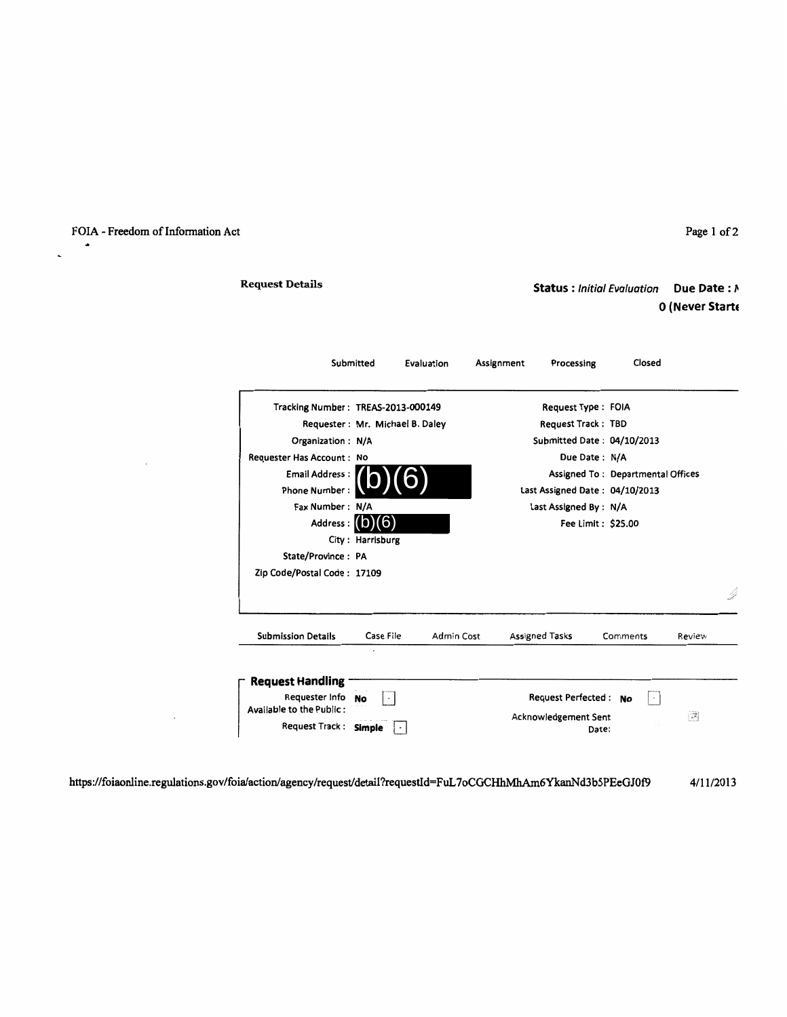## FOIA - Freedom of Information Act

 $\bullet$ 

 $\ddot{\phantom{0}}$ 

### Page 1 of 2

# Request Details

# **Status** : Initial Evaluation **Due Date** : /1 **0 (Never Starte**

|                                            | Submitted        | Evaluation | Assignment | Processing                     | Closed                            |                                                                     |  |
|--------------------------------------------|------------------|------------|------------|--------------------------------|-----------------------------------|---------------------------------------------------------------------|--|
| Tracking Number: TREAS-2013-000149         |                  |            |            | Request Type: FOIA             |                                   |                                                                     |  |
| Requester: Mr. Michael B. Daley            |                  |            |            | <b>Request Track: TBD</b>      |                                   |                                                                     |  |
| Organization: N/A                          |                  |            |            | Submitted Date: 04/10/2013     |                                   |                                                                     |  |
| Requester Has Account: No                  |                  |            |            | Due Date: N/A                  |                                   |                                                                     |  |
| Email Address:                             |                  |            |            |                                | Assigned To: Departmental Offices |                                                                     |  |
| <b>Phone Number:</b>                       |                  |            |            | Last Assigned Date: 04/10/2013 |                                   |                                                                     |  |
| Fax Number: N/A                            |                  |            |            | Last Assigned By: N/A          |                                   |                                                                     |  |
| Address: (O                                |                  |            |            | Fee Limit: \$25.00             |                                   |                                                                     |  |
|                                            | City: Harrisburg |            |            |                                |                                   |                                                                     |  |
| State/Province: PA                         |                  |            |            |                                |                                   |                                                                     |  |
| Zip Code/Postal Code: 17109                |                  |            |            |                                |                                   |                                                                     |  |
|                                            |                  |            |            |                                |                                   |                                                                     |  |
| <b>Submission Details</b>                  | Case File        | Admin Cost |            | Assigned Tasks                 | Comments                          | Review                                                              |  |
| <b>Request Handling</b>                    |                  |            |            |                                |                                   |                                                                     |  |
| Requester Info<br>Available to the Public: | No               |            |            | Request Perfected: No          | $\sim$                            |                                                                     |  |
|                                            |                  |            |            | Acknowledgement Sent           |                                   | $\left[\begin{smallmatrix} 1 & 0 \\ 0 & 0 \end{smallmatrix}\right]$ |  |
| Request Track: Simple                      |                  |            |            | Date:                          |                                   |                                                                     |  |

https://foiaonline.regulations.gov/foialactionlagency/request/detail?requestld=FuL 7oCGCHhMhAm6YkanNd3b5PEeGJOf9 4/1112013